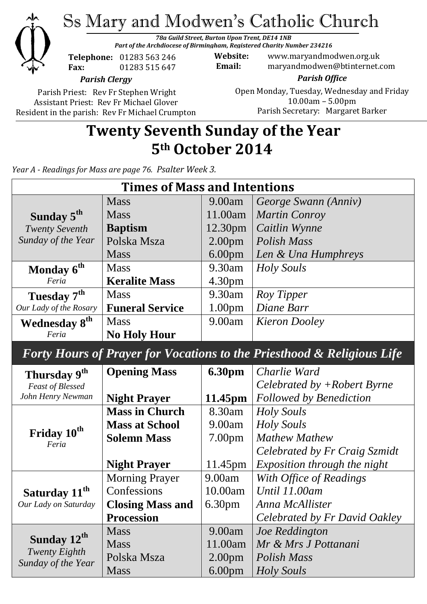

Ss Mary and Modwen's Catholic Church

*78a Guild Street, Burton Upon Trent, DE14 1NB Part of the Archdiocese of Birmingham, Registered Charity Number 234216*

**Telephone:** 01283 563 246 **Fax:** 01283 515 647

**Website:** www.maryandmodwen.org.uk **Email:** maryandmodwen@btinternet.com

*Parish Clergy*

Parish Priest: Rev Fr Stephen Wright Assistant Priest: Rev Fr Michael Glover Resident in the parish: Rev Fr Michael Crumpton

*Parish Office* Open Monday, Tuesday, Wednesday and Friday 10.00am – 5.00pm Parish Secretary:Margaret Barker

# **Twenty Seventh Sunday of the Year 5th October 2014**

*Year A - Readings for Mass are page 76. Psalter Week 3.*

| <b>Times of Mass and Intentions</b>                                               |                         |                    |                                |
|-----------------------------------------------------------------------------------|-------------------------|--------------------|--------------------------------|
|                                                                                   | <b>Mass</b>             | 9.00am             | George Swann (Anniv)           |
| Sunday 5 <sup>th</sup>                                                            | <b>Mass</b>             | 11.00am            | <b>Martin Conroy</b>           |
| <b>Twenty Seventh</b>                                                             | <b>Baptism</b>          | 12.30pm            | Caitlin Wynne                  |
| Sunday of the Year                                                                | Polska Msza             | 2.00 <sub>pm</sub> | <b>Polish Mass</b>             |
|                                                                                   | <b>Mass</b>             | 6.00 <sub>pm</sub> | Len & Una Humphreys            |
| Monday 6 <sup>th</sup>                                                            | <b>Mass</b>             | 9.30am             | <b>Holy Souls</b>              |
| Feria                                                                             | <b>Keralite Mass</b>    | 4.30pm             |                                |
| Tuesday 7 <sup>th</sup>                                                           | <b>Mass</b>             | 9.30am             | Roy Tipper                     |
| Our Lady of the Rosary                                                            | <b>Funeral Service</b>  | 1.00 <sub>pm</sub> | Diane Barr                     |
| Wednesday 8 <sup>th</sup>                                                         | <b>Mass</b>             | 9.00am             | <b>Kieron Dooley</b>           |
| Feria                                                                             | <b>No Holy Hour</b>     |                    |                                |
| <b>Forty Hours of Prayer for Vocations to the Priesthood &amp; Religious Life</b> |                         |                    |                                |
| Thursday 9 <sup>th</sup><br><b>Feast of Blessed</b>                               | <b>Opening Mass</b>     | <b>6.30pm</b>      | Charlie Ward                   |
|                                                                                   |                         |                    | Celebrated by +Robert Byrne    |
| John Henry Newman                                                                 | <b>Night Prayer</b>     | 11.45pm            | <b>Followed by Benediction</b> |
| Friday 10 <sup>th</sup><br>Feria                                                  | <b>Mass in Church</b>   | 8.30am             | Holy Souls                     |
|                                                                                   | <b>Mass at School</b>   | 9.00am             | Holy Souls                     |
|                                                                                   | <b>Solemn Mass</b>      | 7.00 <sub>pm</sub> | <b>Mathew Mathew</b>           |
|                                                                                   |                         |                    | Celebrated by Fr Craig Szmidt  |
|                                                                                   | <b>Night Prayer</b>     | 11.45pm            | Exposition through the night   |
| Saturday 11 <sup>th</sup><br>Our Lady on Saturday                                 | <b>Morning Prayer</b>   | 9.00am             | With Office of Readings        |
|                                                                                   | Confessions             | 10.00am            | Until 11.00am                  |
|                                                                                   | <b>Closing Mass and</b> | 6.30pm             | Anna McAllister                |
|                                                                                   | <b>Procession</b>       |                    | Celebrated by Fr David Oakley  |
| Sunday 12 <sup>th</sup><br><b>Twenty Eighth</b><br>Sunday of the Year             | <b>Mass</b>             | 9.00am             | Joe Reddington                 |
|                                                                                   | Mass                    | 11.00am            | Mr & Mrs J Pottanani           |
|                                                                                   | Polska Msza             | 2.00 <sub>pm</sub> | Polish Mass                    |
|                                                                                   | <b>Mass</b>             | 6.00 <sub>pm</sub> | <b>Holy Souls</b>              |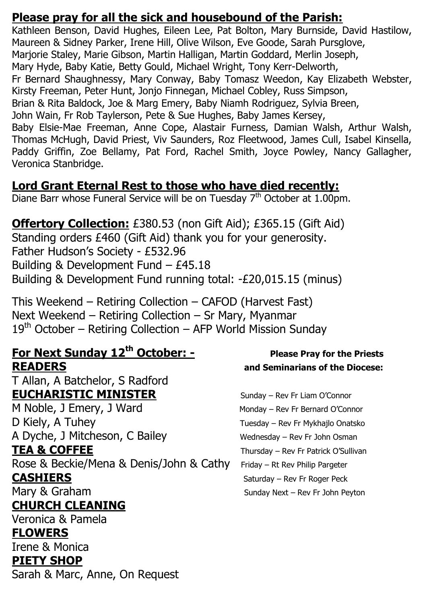#### **Please pray for all the sick and housebound of the Parish:**

Kathleen Benson, David Hughes, Eileen Lee, Pat Bolton, Mary Burnside, David Hastilow, Maureen & Sidney Parker, Irene Hill, Olive Wilson, Eve Goode, Sarah Pursglove, Marjorie Staley, Marie Gibson, Martin Halligan, Martin Goddard, Merlin Joseph, Mary Hyde, Baby Katie, Betty Gould, Michael Wright, Tony Kerr-Delworth, Fr Bernard Shaughnessy, Mary Conway, Baby Tomasz Weedon, Kay Elizabeth Webster, Kirsty Freeman, Peter Hunt, Jonjo Finnegan, Michael Cobley, Russ Simpson, Brian & Rita Baldock, Joe & Marg Emery, Baby Niamh Rodriguez, Sylvia Breen, John Wain, Fr Rob Taylerson, Pete & Sue Hughes, Baby James Kersey, Baby Elsie-Mae Freeman, Anne Cope, Alastair Furness, Damian Walsh, Arthur Walsh, Thomas McHugh, David Priest, Viv Saunders, Roz Fleetwood, James Cull, Isabel Kinsella, Paddy Griffin, Zoe Bellamy, Pat Ford, Rachel Smith, Joyce Powley, Nancy Gallagher, Veronica Stanbridge.

# **Lord Grant Eternal Rest to those who have died recently:**

Diane Barr whose Funeral Service will be on Tuesday 7<sup>th</sup> October at 1.00pm.

### **Offertory Collection:** £380.53 (non Gift Aid); £365.15 (Gift Aid)

Standing orders £460 (Gift Aid) thank you for your generosity. Father Hudson's Society - £532.96 Building & Development Fund – £45.18 Building & Development Fund running total: -£20,015.15 (minus)

This Weekend – Retiring Collection – CAFOD (Harvest Fast) Next Weekend – Retiring Collection – Sr Mary, Myanmar  $19<sup>th</sup>$  October – Retiring Collection – AFP World Mission Sunday

### **For Next Sunday 12<sup>th</sup> October: -** Please Pray for the Priests **READERS and Seminarians of the Diocese:**

T Allan, A Batchelor, S Radford **EUCHARISTIC MINISTER** Sunday – Rev Fr Liam O'Connor M Noble, J Emery, J Ward Monday – Rev Fr Bernard O'Connor

D Kiely, A Tuhey Tuesday – Rev Fr Mykhajlo Onatsko A Dyche, J Mitcheson, C Bailey Wednesday – Rev Fr John Osman

Rose & Beckie/Mena & Denis/John & Cathy Friday – Rt Rev Philip Pargeter **CASHIERS** Saturday – Rev Fr Roger Peck

# **CHURCH CLEANING**

Veronica & Pamela **FLOWERS**  Irene & Monica **PIETY SHOP** Sarah & Marc, Anne, On Request

**TEA & COFFEE** Thursday – Rev Fr Patrick O'Sullivan Mary & Graham Sunday Next – Rev Fr John Peyton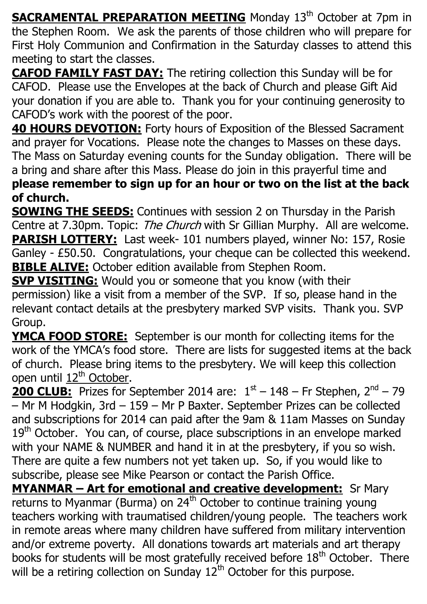**SACRAMENTAL PREPARATION MEETING** Monday 13<sup>th</sup> October at 7pm in the Stephen Room. We ask the parents of those children who will prepare for First Holy Communion and Confirmation in the Saturday classes to attend this meeting to start the classes.

**CAFOD FAMILY FAST DAY:** The retiring collection this Sunday will be for CAFOD. Please use the Envelopes at the back of Church and please Gift Aid your donation if you are able to. Thank you for your continuing generosity to CAFOD's work with the poorest of the poor.

**40 HOURS DEVOTION:** Forty hours of Exposition of the Blessed Sacrament and prayer for Vocations. Please note the changes to Masses on these days. The Mass on Saturday evening counts for the Sunday obligation. There will be a bring and share after this Mass. Please do join in this prayerful time and **please remember to sign up for an hour or two on the list at the back of church.**

**SOWING THE SEEDS:** Continues with session 2 on Thursday in the Parish Centre at 7.30pm. Topic: The Church with Sr Gillian Murphy. All are welcome. **PARISH LOTTERY:** Last week- 101 numbers played, winner No: 157, Rosie Ganley - £50.50. Congratulations, your cheque can be collected this weekend. **BIBLE ALIVE:** October edition available from Stephen Room.

**SVP VISITING:** Would you or someone that you know (with their permission) like a visit from a member of the SVP. If so, please hand in the relevant contact details at the presbytery marked SVP visits. Thank you. SVP Group.

**YMCA FOOD STORE:** September is our month for collecting items for the work of the YMCA's food store. There are lists for suggested items at the back of church. Please bring items to the presbytery. We will keep this collection open until 12<sup>th</sup> October.

**200 CLUB:** Prizes for September 2014 are:  $1<sup>st</sup> - 148$  – Fr Stephen,  $2<sup>nd</sup> - 79$ – Mr M Hodgkin, 3rd – 159 – Mr P Baxter. September Prizes can be collected and subscriptions for 2014 can paid after the 9am & 11am Masses on Sunday 19<sup>th</sup> October. You can, of course, place subscriptions in an envelope marked with your NAME & NUMBER and hand it in at the presbytery, if you so wish. There are quite a few numbers not yet taken up. So, if you would like to subscribe, please see Mike Pearson or contact the Parish Office.

**MYANMAR – Art for emotional and creative development:** Sr Mary returns to Myanmar (Burma) on 24<sup>th</sup> October to continue training young teachers working with traumatised children/young people. The teachers work in remote areas where many children have suffered from military intervention and/or extreme poverty. All donations towards art materials and art therapy books for students will be most gratefully received before  $18<sup>th</sup>$  October. There will be a retiring collection on Sunday  $12^{th}$  October for this purpose.